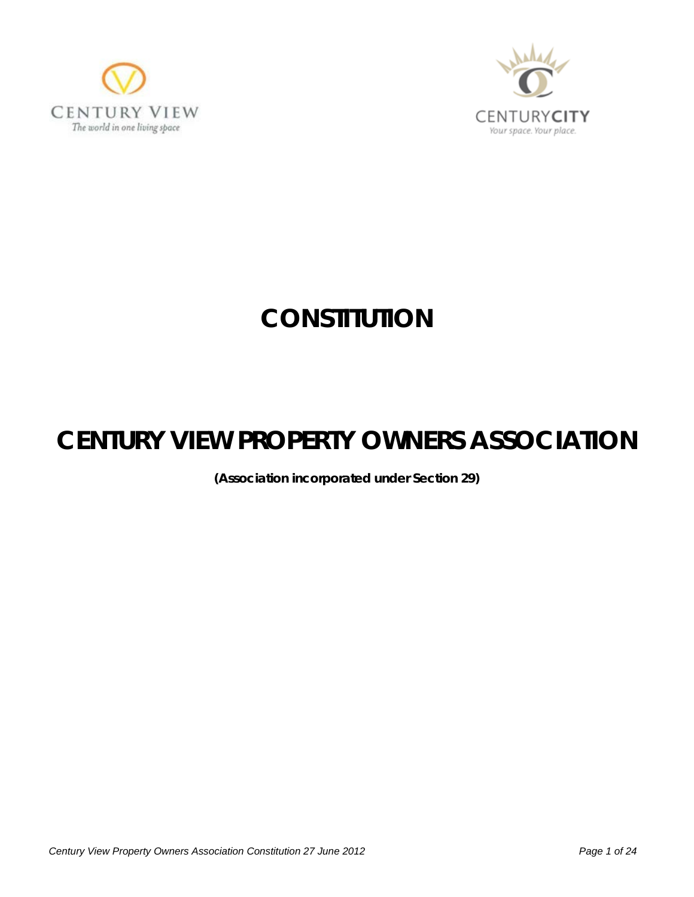



# **CONSTITUTION**

# **CENTURY VIEW PROPERTY OWNERS ASSOCIATION**

**(Association incorporated under Section 29)**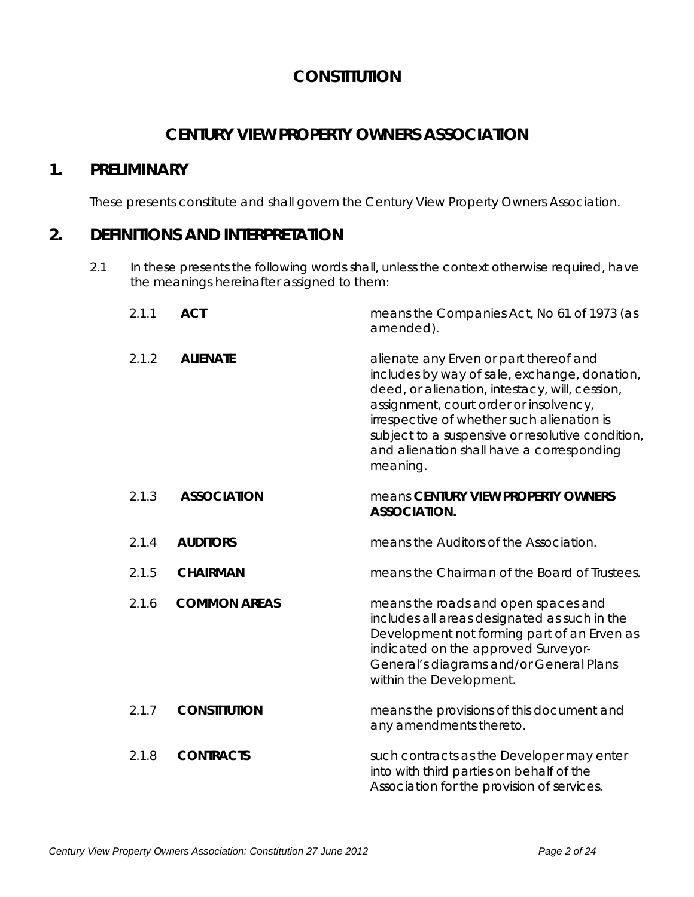# **CONSTITUTION**

# **CENTURY VIEW PROPERTY OWNERS ASSOCIATION**

#### **1. PRELIMINARY**

These presents constitute and shall govern the Century View Property Owners Association.

# **2. DEFINITIONS AND INTERPRETATION**

2.1 In these presents the following words shall, unless the context otherwise required, have the meanings hereinafter assigned to them:

| 2.1.1 | <b>ACT</b>          | means the Companies Act, No 61 of 1973 (as<br>amended).                                                                                                                                                                                                                                                                                       |
|-------|---------------------|-----------------------------------------------------------------------------------------------------------------------------------------------------------------------------------------------------------------------------------------------------------------------------------------------------------------------------------------------|
| 2.1.2 | <b>ALIENATE</b>     | alienate any Erven or part thereof and<br>includes by way of sale, exchange, donation,<br>deed, or alienation, intestacy, will, cession,<br>assignment, court order or insolvency,<br>irrespective of whether such alienation is<br>subject to a suspensive or resolutive condition,<br>and alienation shall have a corresponding<br>meaning. |
| 2.1.3 | <b>ASSOCIATION</b>  | means CENTURY VIEW PROPERTY OWNERS<br><b>ASSOCIATION.</b>                                                                                                                                                                                                                                                                                     |
| 2.1.4 | <b>AUDITORS</b>     | means the Auditors of the Association.                                                                                                                                                                                                                                                                                                        |
| 2.1.5 | <b>CHAIRMAN</b>     | means the Chairman of the Board of Trustees.                                                                                                                                                                                                                                                                                                  |
| 2.1.6 | <b>COMMON AREAS</b> | means the roads and open spaces and<br>includes all areas designated as such in the<br>Development not forming part of an Erven as<br>indicated on the approved Surveyor-<br>General's diagrams and/or General Plans<br>within the Development.                                                                                               |
| 2.1.7 | <b>CONSTITUTION</b> | means the provisions of this document and<br>any amendments thereto.                                                                                                                                                                                                                                                                          |
| 2.1.8 | <b>CONTRACTS</b>    | such contracts as the Developer may enter<br>into with third parties on behalf of the<br>Association for the provision of services.                                                                                                                                                                                                           |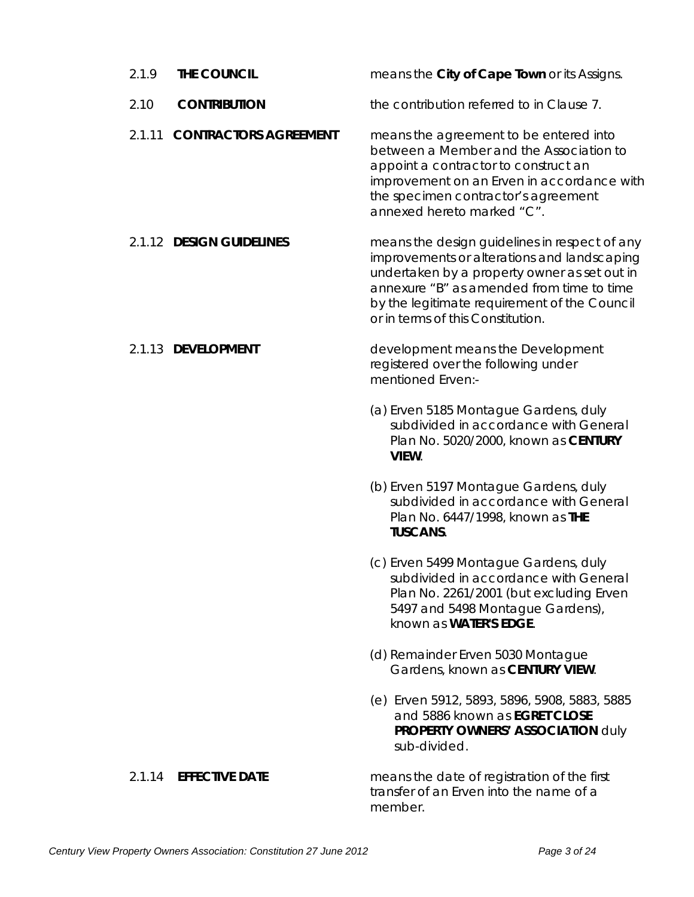| THE COUNCIL<br>2.1.9                   | means the City of Cape Town or its Assigns.                                                                                                                                                                                                                                    |
|----------------------------------------|--------------------------------------------------------------------------------------------------------------------------------------------------------------------------------------------------------------------------------------------------------------------------------|
| 2.10<br><b>CONTRIBUTION</b>            | the contribution referred to in Clause 7.                                                                                                                                                                                                                                      |
| <b>CONTRACTORS AGREEMENT</b><br>2.1.11 | means the agreement to be entered into<br>between a Member and the Association to<br>appoint a contractor to construct an<br>improvement on an Erven in accordance with<br>the specimen contractor's agreement<br>annexed hereto marked "C".                                   |
| 2.1.12 DESIGN GUIDELINES               | means the design guidelines in respect of any<br>improvements or alterations and landscaping<br>undertaken by a property owner as set out in<br>annexure "B" as amended from time to time<br>by the legitimate requirement of the Council<br>or in terms of this Constitution. |
| 2.1.13<br><b>DEVELOPMENT</b>           | development means the Development<br>registered over the following under<br>mentioned Erven:-                                                                                                                                                                                  |
|                                        | (a) Erven 5185 Montague Gardens, duly<br>subdivided in accordance with General<br>Plan No. 5020/2000, known as CENTURY<br>VIEW.                                                                                                                                                |
|                                        | (b) Erven 5197 Montague Gardens, duly<br>subdivided in accordance with General<br>Plan No. 6447/1998, known as THE<br><b>TUSCANS.</b>                                                                                                                                          |
|                                        | (c) Erven 5499 Montague Gardens, duly<br>subdivided in accordance with General<br>Plan No. 2261/2001 (but excluding Erven<br>5497 and 5498 Montague Gardens),<br>known as <b>WATER'S EDGE</b> .                                                                                |
|                                        | (d) Remainder Erven 5030 Montague<br>Gardens, known as CENTURY VIEW.                                                                                                                                                                                                           |
|                                        | (e) Erven 5912, 5893, 5896, 5908, 5883, 5885<br>and 5886 known as EGRET CLOSE<br><b>PROPERTY OWNERS' ASSOCIATION duly</b><br>sub-divided.                                                                                                                                      |
| <b>EFFECTIVE DATE</b><br>2.1.14        | means the date of registration of the first<br>transfer of an Erven into the name of a<br>member.                                                                                                                                                                              |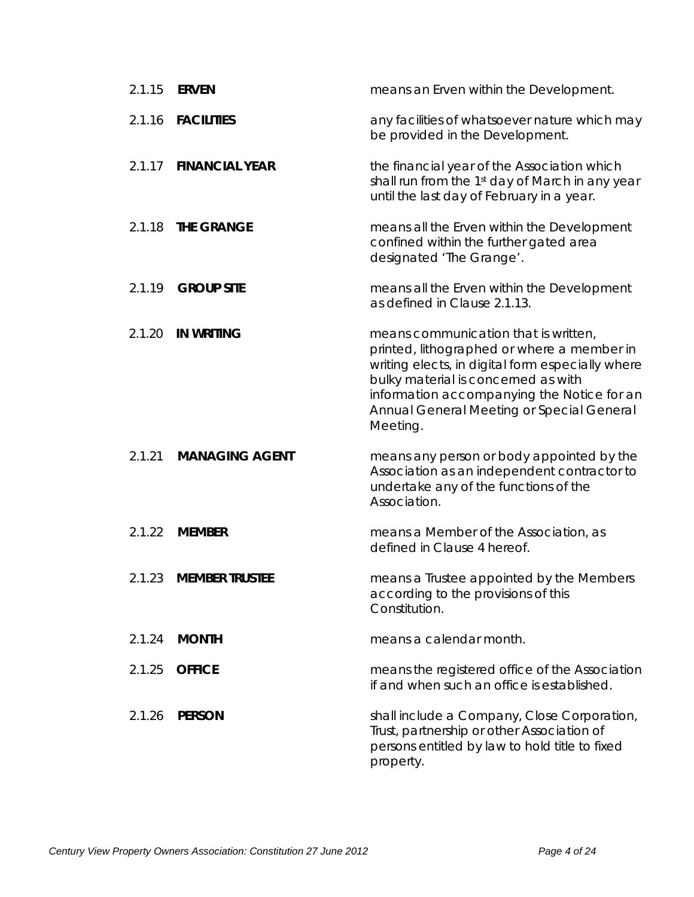| 2.1.15 | <b>ERVEN</b>          | means an Erven within the Development.                                                                                                                                                                                                                                               |
|--------|-----------------------|--------------------------------------------------------------------------------------------------------------------------------------------------------------------------------------------------------------------------------------------------------------------------------------|
| 2.1.16 | <b>FACILITIES</b>     | any facilities of whatsoever nature which may<br>be provided in the Development.                                                                                                                                                                                                     |
| 2.1.17 | <b>FINANCIAL YEAR</b> | the financial year of the Association which<br>shall run from the 1 <sup>st</sup> day of March in any year<br>until the last day of February in a year.                                                                                                                              |
| 2.1.18 | <b>THE GRANGE</b>     | means all the Erven within the Development<br>confined within the further gated area<br>designated 'The Grange'.                                                                                                                                                                     |
| 2.1.19 | <b>GROUP SITE</b>     | means all the Erven within the Development<br>as defined in Clause 2.1.13.                                                                                                                                                                                                           |
| 2.1.20 | <b>IN WRITING</b>     | means communication that is written,<br>printed, lithographed or where a member in<br>writing elects, in digital form especially where<br>bulky material is concerned as with<br>information accompanying the Notice for an<br>Annual General Meeting or Special General<br>Meeting. |
| 2.1.21 | <b>MANAGING AGENT</b> | means any person or body appointed by the<br>Association as an independent contractor to<br>undertake any of the functions of the<br>Association.                                                                                                                                    |
| 2.1.22 | <b>MEMBER</b>         | means a Member of the Association, as<br>defined in Clause 4 hereof.                                                                                                                                                                                                                 |
| 2.1.23 | <b>MEMBER TRUSTEE</b> | means a Trustee appointed by the Members<br>according to the provisions of this<br>Constitution.                                                                                                                                                                                     |
| 2.1.24 | <b>MONTH</b>          | means a calendar month.                                                                                                                                                                                                                                                              |
| 2.1.25 | <b>OFFICE</b>         | means the registered office of the Association<br>if and when such an office is established.                                                                                                                                                                                         |
| 2.1.26 | <b>PERSON</b>         | shall include a Company, Close Corporation,<br>Trust, partnership or other Association of<br>persons entitled by law to hold title to fixed<br>property.                                                                                                                             |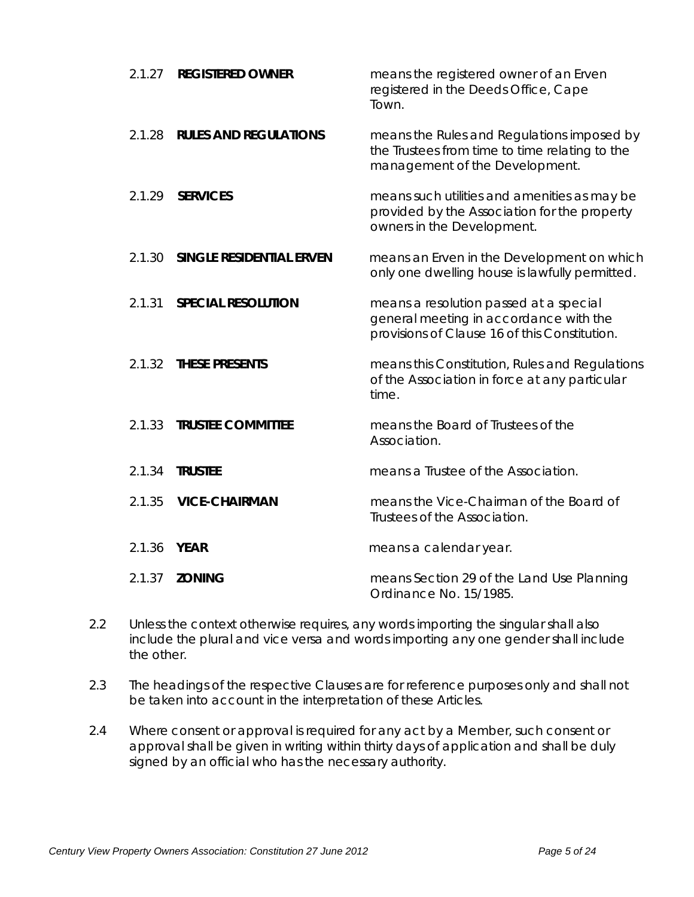| 2.1.27 | <b>REGISTERED OWNER</b>      | means the registered owner of an Erven<br>registered in the Deeds Office, Cape<br>Town.                                           |
|--------|------------------------------|-----------------------------------------------------------------------------------------------------------------------------------|
| 2.1.28 | <b>RULES AND REGULATIONS</b> | means the Rules and Regulations imposed by<br>the Trustees from time to time relating to the<br>management of the Development.    |
| 2.1.29 | <b>SERVICES</b>              | means such utilities and amenities as may be<br>provided by the Association for the property<br>owners in the Development.        |
| 2.1.30 | SINGLE RESIDENTIAL ERVEN     | means an Erven in the Development on which<br>only one dwelling house is lawfully permitted.                                      |
| 2.1.31 | <b>SPECIAL RESOLUTION</b>    | means a resolution passed at a special<br>general meeting in accordance with the<br>provisions of Clause 16 of this Constitution. |
| 2.1.32 | <b>THESE PRESENTS</b>        | means this Constitution, Rules and Regulations<br>of the Association in force at any particular<br>time.                          |
| 2.1.33 | <b>TRUSTEE COMMITTEE</b>     | means the Board of Trustees of the<br>Association.                                                                                |
| 2.1.34 | <b>TRUSTEE</b>               | means a Trustee of the Association.                                                                                               |
| 2.1.35 | <b>VICE-CHAIRMAN</b>         | means the Vice-Chairman of the Board of<br>Trustees of the Association.                                                           |
| 2.1.36 | <b>YEAR</b>                  | means a calendar year.                                                                                                            |
| 2.1.37 | <b>ZONING</b>                | means Section 29 of the Land Use Planning<br>Ordinance No. 15/1985.                                                               |

- 2.2 Unless the context otherwise requires, any words importing the singular shall also include the plural and vice versa and words importing any one gender shall include the other.
- 2.3 The headings of the respective Clauses are for reference purposes only and shall not be taken into account in the interpretation of these Articles.
- 2.4 Where consent or approval is required for any act by a Member, such consent or approval shall be given in writing within thirty days of application and shall be duly signed by an official who has the necessary authority.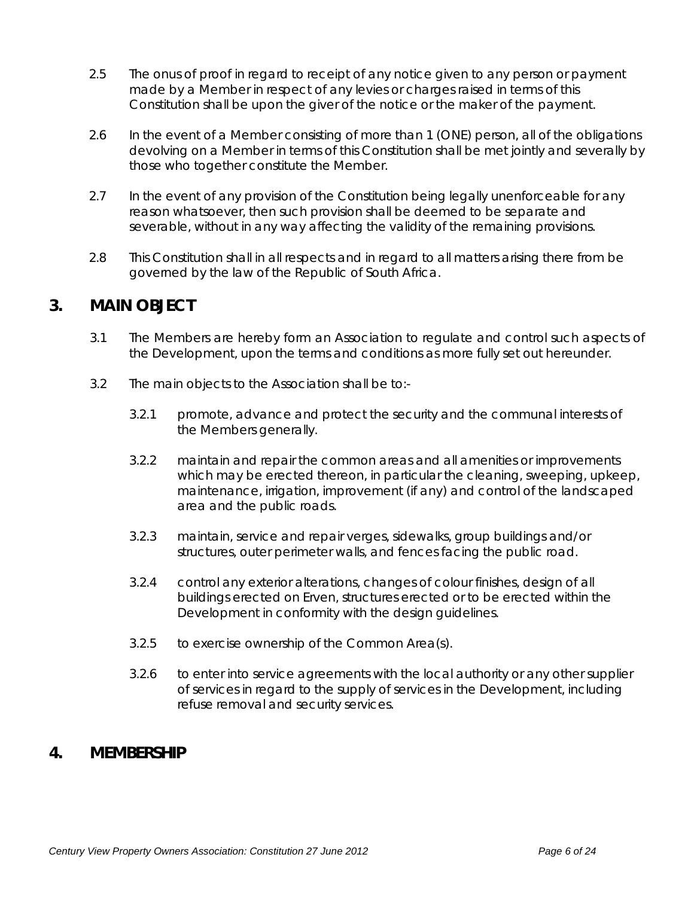- 2.5 The onus of proof in regard to receipt of any notice given to any person or payment made by a Member in respect of any levies or charges raised in terms of this Constitution shall be upon the giver of the notice or the maker of the payment.
- 2.6 In the event of a Member consisting of more than 1 (ONE) person, all of the obligations devolving on a Member in terms of this Constitution shall be met jointly and severally by those who together constitute the Member.
- 2.7 In the event of any provision of the Constitution being legally unenforceable for any reason whatsoever, then such provision shall be deemed to be separate and severable, without in any way affecting the validity of the remaining provisions.
- 2.8 This Constitution shall in all respects and in regard to all matters arising there from be governed by the law of the Republic of South Africa.

#### **3. MAIN OBJECT**

- 3.1 The Members are hereby form an Association to regulate and control such aspects of the Development, upon the terms and conditions as more fully set out hereunder.
- 3.2 The main objects to the Association shall be to:-
	- 3.2.1 promote, advance and protect the security and the communal interests of the Members generally.
	- 3.2.2 maintain and repair the common areas and all amenities or improvements which may be erected thereon, in particular the cleaning, sweeping, upkeep, maintenance, irrigation, improvement (if any) and control of the landscaped area and the public roads.
	- 3.2.3 maintain, service and repair verges, sidewalks, group buildings and/or structures, outer perimeter walls, and fences facing the public road.
	- 3.2.4 control any exterior alterations, changes of colour finishes, design of all buildings erected on Erven, structures erected or to be erected within the Development in conformity with the design guidelines.
	- 3.2.5 to exercise ownership of the Common Area(s).
	- 3.2.6 to enter into service agreements with the local authority or any other supplier of services in regard to the supply of services in the Development, including refuse removal and security services.

#### **4. MEMBERSHIP**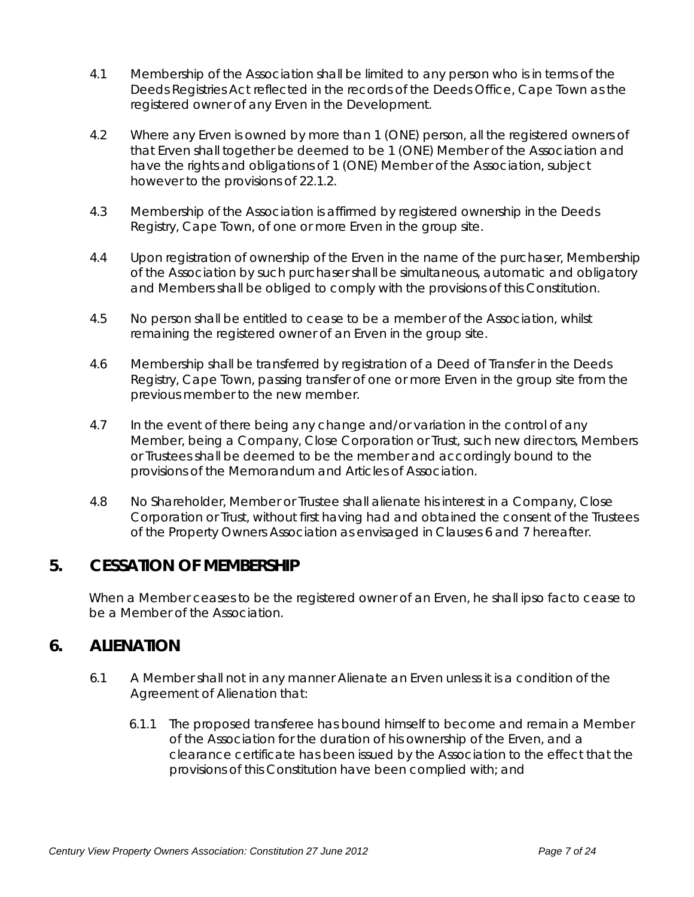- 4.1 Membership of the Association shall be limited to any person who is in terms of the Deeds Registries Act reflected in the records of the Deeds Office, Cape Town as the registered owner of any Erven in the Development.
- 4.2 Where any Erven is owned by more than 1 (ONE) person, all the registered owners of that Erven shall together be deemed to be 1 (ONE) Member of the Association and have the rights and obligations of 1 (ONE) Member of the Association, subject however to the provisions of 22.1.2.
- 4.3 Membership of the Association is affirmed by registered ownership in the Deeds Registry, Cape Town, of one or more Erven in the group site.
- 4.4 Upon registration of ownership of the Erven in the name of the purchaser, Membership of the Association by such purchaser shall be simultaneous, automatic and obligatory and Members shall be obliged to comply with the provisions of this Constitution.
- 4.5 No person shall be entitled to cease to be a member of the Association, whilst remaining the registered owner of an Erven in the group site.
- 4.6 Membership shall be transferred by registration of a Deed of Transfer in the Deeds Registry, Cape Town, passing transfer of one or more Erven in the group site from the previous member to the new member.
- 4.7 In the event of there being any change and/or variation in the control of any Member, being a Company, Close Corporation or Trust, such new directors, Members or Trustees shall be deemed to be the member and accordingly bound to the provisions of the Memorandum and Articles of Association.
- 4.8 No Shareholder, Member or Trustee shall alienate his interest in a Company, Close Corporation or Trust, without first having had and obtained the consent of the Trustees of the Property Owners Association as envisaged in Clauses 6 and 7 hereafter.

## **5. CESSATION OF MEMBERSHIP**

When a Member ceases to be the registered owner of an Erven, he shall ipso facto cease to be a Member of the Association.

## **6. ALIENATION**

- 6.1 A Member shall not in any manner Alienate an Erven unless it is a condition of the Agreement of Alienation that:
	- 6.1.1 The proposed transferee has bound himself to become and remain a Member of the Association for the duration of his ownership of the Erven, and a clearance certificate has been issued by the Association to the effect that the provisions of this Constitution have been complied with; and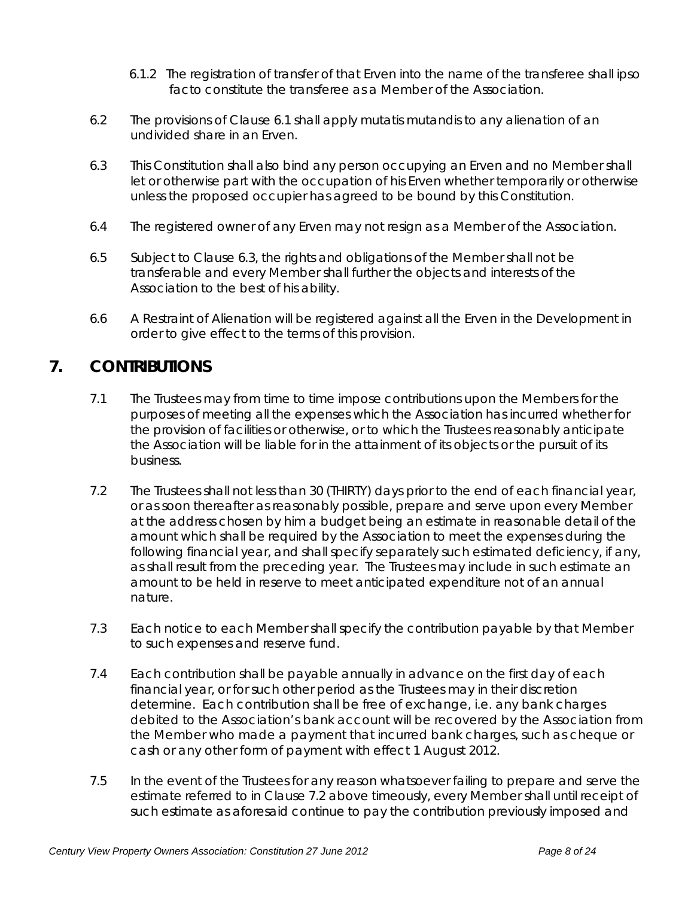- 6.1.2 The registration of transfer of that Erven into the name of the transferee shall ipso facto constitute the transferee as a Member of the Association.
- 6.2 The provisions of Clause 6.1 shall apply mutatis mutandis to any alienation of an undivided share in an Erven.
- 6.3 This Constitution shall also bind any person occupying an Erven and no Member shall let or otherwise part with the occupation of his Erven whether temporarily or otherwise unless the proposed occupier has agreed to be bound by this Constitution.
- 6.4 The registered owner of any Erven may not resign as a Member of the Association.
- 6.5 Subject to Clause 6.3, the rights and obligations of the Member shall not be transferable and every Member shall further the objects and interests of the Association to the best of his ability.
- 6.6 A Restraint of Alienation will be registered against all the Erven in the Development in order to give effect to the terms of this provision.

# **7. CONTRIBUTIONS**

- 7.1 The Trustees may from time to time impose contributions upon the Members for the purposes of meeting all the expenses which the Association has incurred whether for the provision of facilities or otherwise, or to which the Trustees reasonably anticipate the Association will be liable for in the attainment of its objects or the pursuit of its business.
- 7.2 The Trustees shall not less than 30 (THIRTY) days prior to the end of each financial year, or as soon thereafter as reasonably possible, prepare and serve upon every Member at the address chosen by him a budget being an estimate in reasonable detail of the amount which shall be required by the Association to meet the expenses during the following financial year, and shall specify separately such estimated deficiency, if any, as shall result from the preceding year. The Trustees may include in such estimate an amount to be held in reserve to meet anticipated expenditure not of an annual nature.
- 7.3 Each notice to each Member shall specify the contribution payable by that Member to such expenses and reserve fund.
- 7.4 Each contribution shall be payable annually in advance on the first day of each financial year, or for such other period as the Trustees may in their discretion determine. Each contribution shall be free of exchange, i.e. any bank charges debited to the Association's bank account will be recovered by the Association from the Member who made a payment that incurred bank charges, such as cheque or cash or any other form of payment with effect 1 August 2012.
- 7.5 In the event of the Trustees for any reason whatsoever failing to prepare and serve the estimate referred to in Clause 7.2 above timeously, every Member shall until receipt of such estimate as aforesaid continue to pay the contribution previously imposed and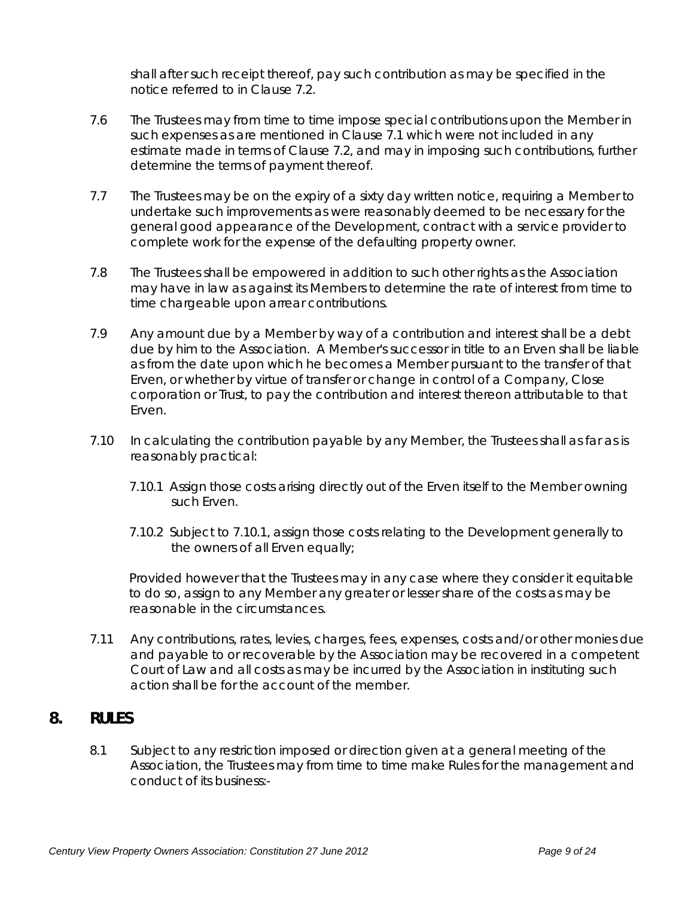shall after such receipt thereof, pay such contribution as may be specified in the notice referred to in Clause 7.2.

- 7.6 The Trustees may from time to time impose special contributions upon the Member in such expenses as are mentioned in Clause 7.1 which were not included in any estimate made in terms of Clause 7.2, and may in imposing such contributions, further determine the terms of payment thereof.
- 7.7 The Trustees may be on the expiry of a sixty day written notice, requiring a Member to undertake such improvements as were reasonably deemed to be necessary for the general good appearance of the Development, contract with a service provider to complete work for the expense of the defaulting property owner.
- 7.8 The Trustees shall be empowered in addition to such other rights as the Association may have in law as against its Members to determine the rate of interest from time to time chargeable upon arrear contributions.
- 7.9 Any amount due by a Member by way of a contribution and interest shall be a debt due by him to the Association. A Member's successor in title to an Erven shall be liable as from the date upon which he becomes a Member pursuant to the transfer of that Erven, or whether by virtue of transfer or change in control of a Company, Close corporation or Trust, to pay the contribution and interest thereon attributable to that Erven.
- 7.10 In calculating the contribution payable by any Member, the Trustees shall as far as is reasonably practical:
	- 7.10.1 Assign those costs arising directly out of the Erven itself to the Member owning such Erven.
	- 7.10.2 Subject to 7.10.1, assign those costs relating to the Development generally to the owners of all Erven equally;

Provided however that the Trustees may in any case where they consider it equitable to do so, assign to any Member any greater or lesser share of the costs as may be reasonable in the circumstances.

7.11 Any contributions, rates, levies, charges, fees, expenses, costs and/or other monies due and payable to or recoverable by the Association may be recovered in a competent Court of Law and all costs as may be incurred by the Association in instituting such action shall be for the account of the member.

## **8. RULES**

8.1 Subject to any restriction imposed or direction given at a general meeting of the Association, the Trustees may from time to time make Rules for the management and conduct of its business:-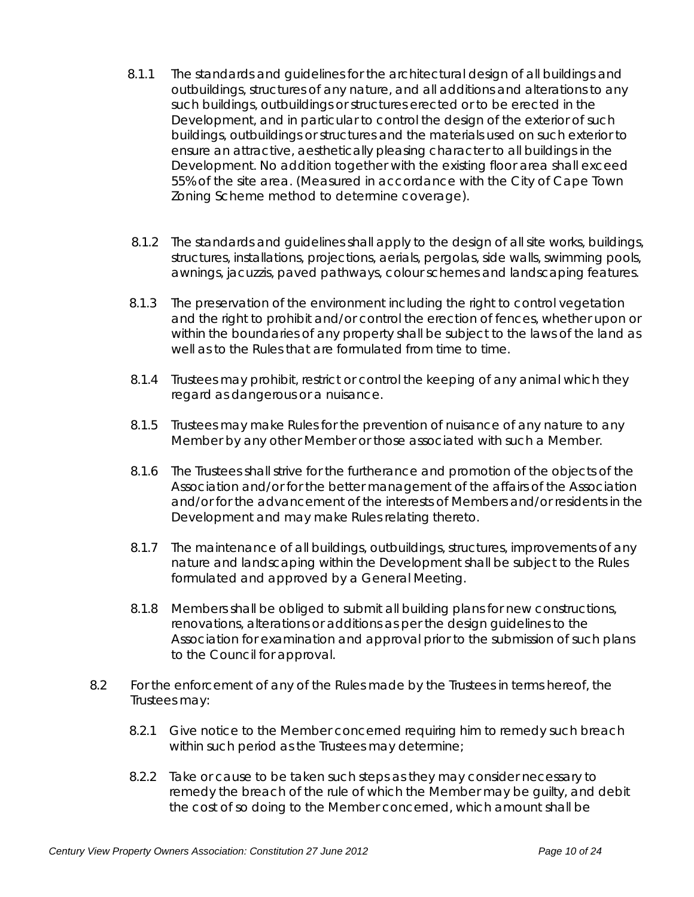- 8.1.1 The standards and guidelines for the architectural design of all buildings and outbuildings, structures of any nature, and all additions and alterations to any such buildings, outbuildings or structures erected or to be erected in the Development, and in particular to control the design of the exterior of such buildings, outbuildings or structures and the materials used on such exterior to ensure an attractive, aesthetically pleasing character to all buildings in the Development. No addition together with the existing floor area shall exceed 55% of the site area. (*Measured in accordance with the City of Cape Town Zoning Scheme method to determine coverage).*
- 8.1.2 The standards and guidelines shall apply to the design of all site works, buildings, structures, installations, projections, aerials, pergolas, side walls, swimming pools, awnings, jacuzzis, paved pathways, colour schemes and landscaping features.
- 8.1.3 The preservation of the environment including the right to control vegetation and the right to prohibit and/or control the erection of fences, whether upon or within the boundaries of any property shall be subject to the laws of the land as well as to the Rules that are formulated from time to time.
- 8.1.4 Trustees may prohibit, restrict or control the keeping of any animal which they regard as dangerous or a nuisance.
- 8.1.5 Trustees may make Rules for the prevention of nuisance of any nature to any Member by any other Member or those associated with such a Member.
- 8.1.6 The Trustees shall strive for the furtherance and promotion of the objects of the Association and/or for the better management of the affairs of the Association and/or for the advancement of the interests of Members and/or residents in the Development and may make Rules relating thereto.
- 8.1.7 The maintenance of all buildings, outbuildings, structures, improvements of any nature and landscaping within the Development shall be subject to the Rules formulated and approved by a General Meeting.
- 8.1.8 Members shall be obliged to submit all building plans for new constructions, renovations, alterations or additions as per the design guidelines to the Association for examination and approval prior to the submission of such plans to the Council for approval.
- 8.2 For the enforcement of any of the Rules made by the Trustees in terms hereof, the Trustees may:
	- 8.2.1 Give notice to the Member concerned requiring him to remedy such breach within such period as the Trustees may determine;
	- 8.2.2 Take or cause to be taken such steps as they may consider necessary to remedy the breach of the rule of which the Member may be guilty, and debit the cost of so doing to the Member concerned, which amount shall be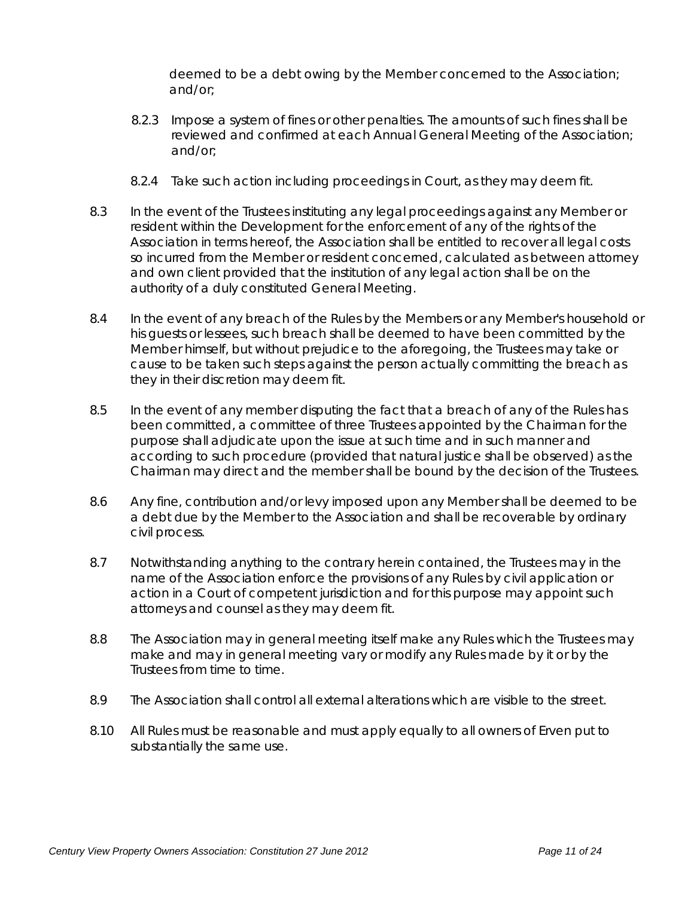deemed to be a debt owing by the Member concerned to the Association; and/or;

- 8.2.3 Impose a system of fines or other penalties. The amounts of such fines shall be reviewed and confirmed at each Annual General Meeting of the Association; and/or;
- 8.2.4 Take such action including proceedings in Court, as they may deem fit.
- 8.3 In the event of the Trustees instituting any legal proceedings against any Member or resident within the Development for the enforcement of any of the rights of the Association in terms hereof, the Association shall be entitled to recover all legal costs so incurred from the Member or resident concerned, calculated as between attorney and own client provided that the institution of any legal action shall be on the authority of a duly constituted General Meeting.
- 8.4 In the event of any breach of the Rules by the Members or any Member's household or his guests or lessees, such breach shall be deemed to have been committed by the Member himself, but without prejudice to the aforegoing, the Trustees may take or cause to be taken such steps against the person actually committing the breach as they in their discretion may deem fit.
- 8.5 In the event of any member disputing the fact that a breach of any of the Rules has been committed, a committee of three Trustees appointed by the Chairman for the purpose shall adjudicate upon the issue at such time and in such manner and according to such procedure (provided that natural justice shall be observed) as the Chairman may direct and the member shall be bound by the decision of the Trustees.
- 8.6 Any fine, contribution and/or levy imposed upon any Member shall be deemed to be a debt due by the Member to the Association and shall be recoverable by ordinary civil process.
- 8.7 Notwithstanding anything to the contrary herein contained, the Trustees may in the name of the Association enforce the provisions of any Rules by civil application or action in a Court of competent jurisdiction and for this purpose may appoint such attorneys and counsel as they may deem fit.
- 8.8 The Association may in general meeting itself make any Rules which the Trustees may make and may in general meeting vary or modify any Rules made by it or by the Trustees from time to time.
- 8.9 The Association shall control all external alterations which are visible to the street.
- 8.10 All Rules must be reasonable and must apply equally to all owners of Erven put to substantially the same use.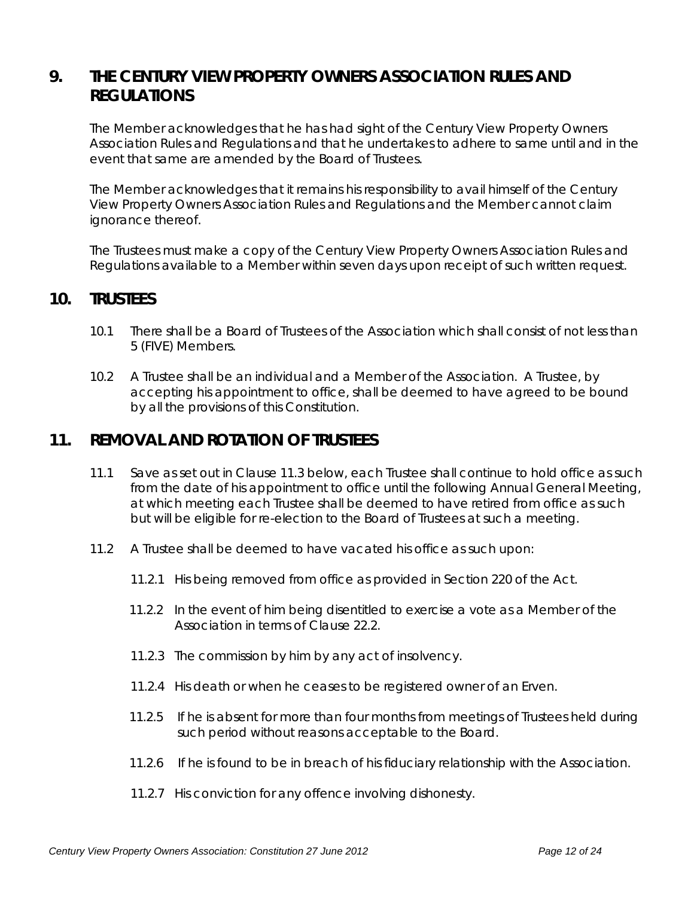## **9. THE CENTURY VIEW PROPERTY OWNERS ASSOCIATION RULES AND REGULATIONS**

The Member acknowledges that he has had sight of the Century View Property Owners Association Rules and Regulations and that he undertakes to adhere to same until and in the event that same are amended by the Board of Trustees.

The Member acknowledges that it remains his responsibility to avail himself of the Century View Property Owners Association Rules and Regulations and the Member cannot claim ignorance thereof.

The Trustees must make a copy of the Century View Property Owners Association Rules and Regulations available to a Member within seven days upon receipt of such written request.

#### **10. TRUSTEES**

- 10.1 There shall be a Board of Trustees of the Association which shall consist of not less than 5 (FIVE) Members.
- 10.2 A Trustee shall be an individual and a Member of the Association. A Trustee, by accepting his appointment to office, shall be deemed to have agreed to be bound by all the provisions of this Constitution.

#### **11. REMOVAL AND ROTATION OF TRUSTEES**

- 11.1 Save as set out in Clause 11.3 below, each Trustee shall continue to hold office as such from the date of his appointment to office until the following Annual General Meeting, at which meeting each Trustee shall be deemed to have retired from office as such but will be eligible for re-election to the Board of Trustees at such a meeting.
- 11.2 A Trustee shall be deemed to have vacated his office as such upon:
	- 11.2.1 His being removed from office as provided in Section 220 of the Act.
	- 11.2.2 In the event of him being disentitled to exercise a vote as a Member of the Association in terms of Clause 22.2.
	- 11.2.3 The commission by him by any act of insolvency.
	- 11.2.4 His death or when he ceases to be registered owner of an Erven.
	- 11.2.5 If he is absent for more than four months from meetings of Trustees held during such period without reasons acceptable to the Board.
	- 11.2.6 If he is found to be in breach of his fiduciary relationship with the Association.
	- 11.2.7 His conviction for any offence involving dishonesty.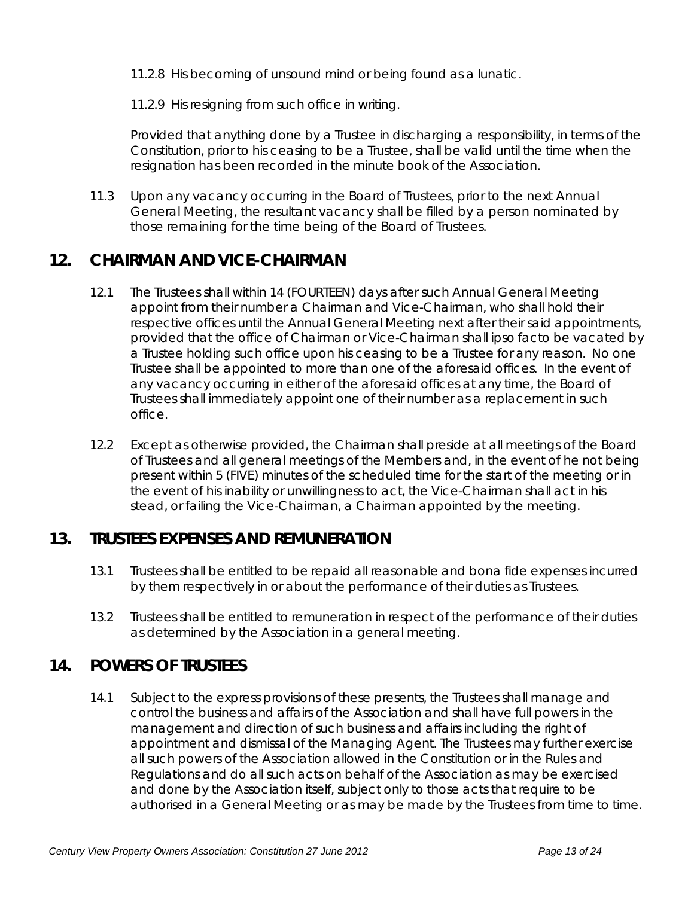- 11.2.8 His becoming of unsound mind or being found as a lunatic.
- 11.2.9 His resigning from such office in writing.

Provided that anything done by a Trustee in discharging a responsibility, in terms of the Constitution, prior to his ceasing to be a Trustee, shall be valid until the time when the resignation has been recorded in the minute book of the Association.

11.3 Upon any vacancy occurring in the Board of Trustees, prior to the next Annual General Meeting, the resultant vacancy shall be filled by a person nominated by those remaining for the time being of the Board of Trustees.

# **12. CHAIRMAN AND VICE-CHAIRMAN**

- 12.1 The Trustees shall within 14 (FOURTEEN) days after such Annual General Meeting appoint from their number a Chairman and Vice-Chairman, who shall hold their respective offices until the Annual General Meeting next after their said appointments, provided that the office of Chairman or Vice-Chairman shall ipso facto be vacated by a Trustee holding such office upon his ceasing to be a Trustee for any reason. No one Trustee shall be appointed to more than one of the aforesaid offices. In the event of any vacancy occurring in either of the aforesaid offices at any time, the Board of Trustees shall immediately appoint one of their number as a replacement in such office.
- 12.2 Except as otherwise provided, the Chairman shall preside at all meetings of the Board of Trustees and all general meetings of the Members and, in the event of he not being present within 5 (FIVE) minutes of the scheduled time for the start of the meeting or in the event of his inability or unwillingness to act, the Vice-Chairman shall act in his stead, or failing the Vice-Chairman, a Chairman appointed by the meeting.

## **13. TRUSTEES EXPENSES AND REMUNERATION**

- 13.1 Trustees shall be entitled to be repaid all reasonable and bona fide expenses incurred by them respectively in or about the performance of their duties as Trustees.
- 13.2 Trustees shall be entitled to remuneration in respect of the performance of their duties as determined by the Association in a general meeting.

## **14. POWERS OF TRUSTEES**

14.1 Subject to the express provisions of these presents, the Trustees shall manage and control the business and affairs of the Association and shall have full powers in the management and direction of such business and affairs including the right of appointment and dismissal of the Managing Agent. The Trustees may further exercise all such powers of the Association allowed in the Constitution or in the Rules and Regulations and do all such acts on behalf of the Association as may be exercised and done by the Association itself, subject only to those acts that require to be authorised in a General Meeting or as may be made by the Trustees from time to time.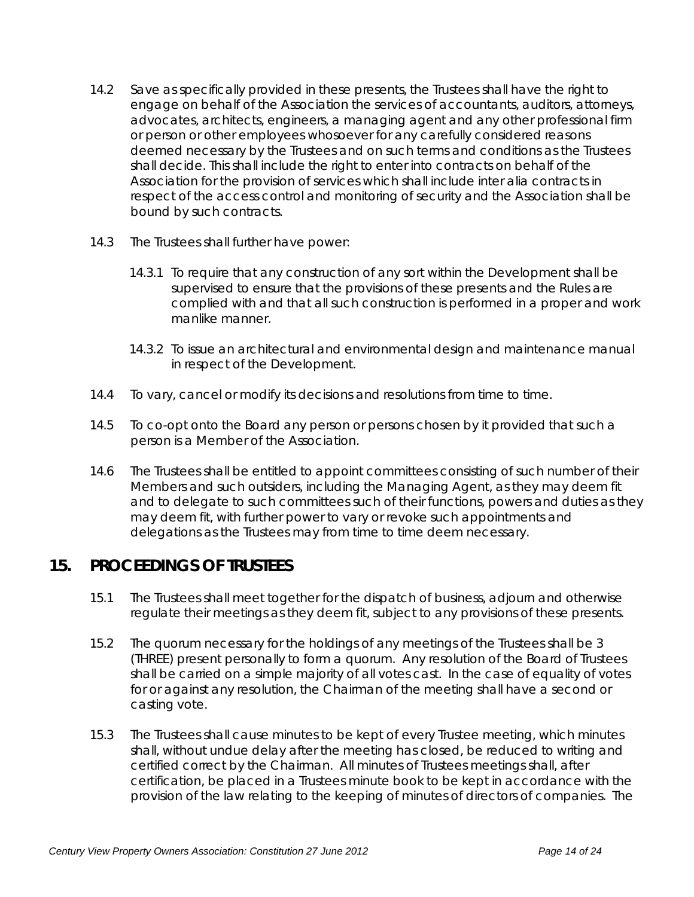- 14.2 Save as specifically provided in these presents, the Trustees shall have the right to engage on behalf of the Association the services of accountants, auditors, attorneys, advocates, architects, engineers, a managing agent and any other professional firm or person or other employees whosoever for any carefully considered reasons deemed necessary by the Trustees and on such terms and conditions as the Trustees shall decide. This shall include the right to enter into contracts on behalf of the Association for the provision of services which shall include inter alia contracts in respect of the access control and monitoring of security and the Association shall be bound by such contracts.
- 14.3 The Trustees shall further have power:
	- 14.3.1 To require that any construction of any sort within the Development shall be supervised to ensure that the provisions of these presents and the Rules are complied with and that all such construction is performed in a proper and work manlike manner.
	- 14.3.2 To issue an architectural and environmental design and maintenance manual in respect of the Development.
- 14.4 To vary, cancel or modify its decisions and resolutions from time to time.
- 14.5 To co-opt onto the Board any person or persons chosen by it provided that such a person is a Member of the Association.
- 14.6 The Trustees shall be entitled to appoint committees consisting of such number of their Members and such outsiders, including the Managing Agent, as they may deem fit and to delegate to such committees such of their functions, powers and duties as they may deem fit, with further power to vary or revoke such appointments and delegations as the Trustees may from time to time deem necessary.

## **15. PROCEEDINGS OF TRUSTEES**

- 15.1 The Trustees shall meet together for the dispatch of business, adjourn and otherwise regulate their meetings as they deem fit, subject to any provisions of these presents.
- 15.2 The quorum necessary for the holdings of any meetings of the Trustees shall be 3 (THREE) present personally to form a quorum. Any resolution of the Board of Trustees shall be carried on a simple majority of all votes cast. In the case of equality of votes for or against any resolution, the Chairman of the meeting shall have a second or casting vote.
- 15.3 The Trustees shall cause minutes to be kept of every Trustee meeting, which minutes shall, without undue delay after the meeting has closed, be reduced to writing and certified correct by the Chairman. All minutes of Trustees meetings shall, after certification, be placed in a Trustees minute book to be kept in accordance with the provision of the law relating to the keeping of minutes of directors of companies. The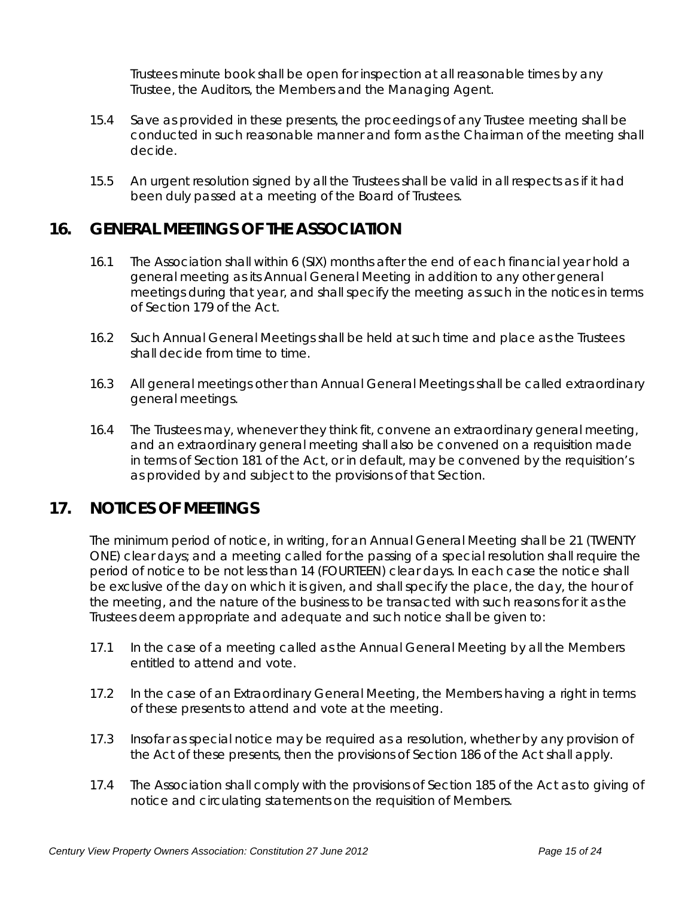Trustees minute book shall be open for inspection at all reasonable times by any Trustee, the Auditors, the Members and the Managing Agent.

- 15.4 Save as provided in these presents, the proceedings of any Trustee meeting shall be conducted in such reasonable manner and form as the Chairman of the meeting shall decide.
- 15.5 An urgent resolution signed by all the Trustees shall be valid in all respects as if it had been duly passed at a meeting of the Board of Trustees.

## **16. GENERAL MEETINGS OF THE ASSOCIATION**

- 16.1 The Association shall within 6 (SIX) months after the end of each financial year hold a general meeting as its Annual General Meeting in addition to any other general meetings during that year, and shall specify the meeting as such in the notices in terms of Section 179 of the Act.
- 16.2 Such Annual General Meetings shall be held at such time and place as the Trustees shall decide from time to time.
- 16.3 All general meetings other than Annual General Meetings shall be called extraordinary general meetings.
- 16.4 The Trustees may, whenever they think fit, convene an extraordinary general meeting, and an extraordinary general meeting shall also be convened on a requisition made in terms of Section 181 of the Act, or in default, may be convened by the requisition's as provided by and subject to the provisions of that Section.

## **17. NOTICES OF MEETINGS**

The minimum period of notice, in writing, for an Annual General Meeting shall be 21 (TWENTY ONE) clear days; and a meeting called for the passing of a special resolution shall require the period of notice to be not less than 14 (FOURTEEN) clear days. In each case the notice shall be exclusive of the day on which it is given, and shall specify the place, the day, the hour of the meeting, and the nature of the business to be transacted with such reasons for it as the Trustees deem appropriate and adequate and such notice shall be given to:

- 17.1 In the case of a meeting called as the Annual General Meeting by all the Members entitled to attend and vote.
- 17.2 In the case of an Extraordinary General Meeting, the Members having a right in terms of these presents to attend and vote at the meeting.
- 17.3 Insofar as special notice may be required as a resolution, whether by any provision of the Act of these presents, then the provisions of Section 186 of the Act shall apply.
- 17.4 The Association shall comply with the provisions of Section 185 of the Act as to giving of notice and circulating statements on the requisition of Members.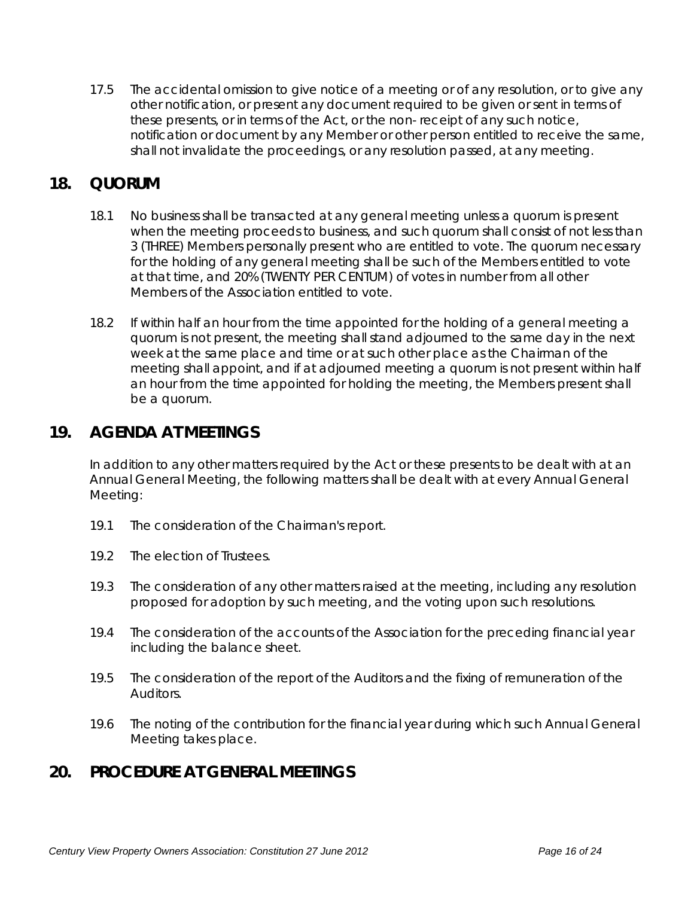17.5 The accidental omission to give notice of a meeting or of any resolution, or to give any other notification, or present any document required to be given or sent in terms of these presents, or in terms of the Act, or the non- receipt of any such notice, notification or document by any Member or other person entitled to receive the same, shall not invalidate the proceedings, or any resolution passed, at any meeting.

#### **18. QUORUM**

- 18.1 No business shall be transacted at any general meeting unless a quorum is present when the meeting proceeds to business, and such quorum shall consist of not less than 3 (THREE) Members personally present who are entitled to vote. The quorum necessary for the holding of any general meeting shall be such of the Members entitled to vote at that time, and 20% (TWENTY PER CENTUM) of votes in number from all other Members of the Association entitled to vote.
- 18.2 If within half an hour from the time appointed for the holding of a general meeting a quorum is not present, the meeting shall stand adjourned to the same day in the next week at the same place and time or at such other place as the Chairman of the meeting shall appoint, and if at adjourned meeting a quorum is not present within half an hour from the time appointed for holding the meeting, the Members present shall be a quorum.

## **19. AGENDA AT MEETINGS**

In addition to any other matters required by the Act or these presents to be dealt with at an Annual General Meeting, the following matters shall be dealt with at every Annual General Meeting:

- 19.1 The consideration of the Chairman's report.
- 19.2 The election of Trustees.
- 19.3 The consideration of any other matters raised at the meeting, including any resolution proposed for adoption by such meeting, and the voting upon such resolutions.
- 19.4 The consideration of the accounts of the Association for the preceding financial year including the balance sheet.
- 19.5 The consideration of the report of the Auditors and the fixing of remuneration of the Auditors.
- 19.6 The noting of the contribution for the financial year during which such Annual General Meeting takes place.

## **20. PROCEDURE AT GENERAL MEETINGS**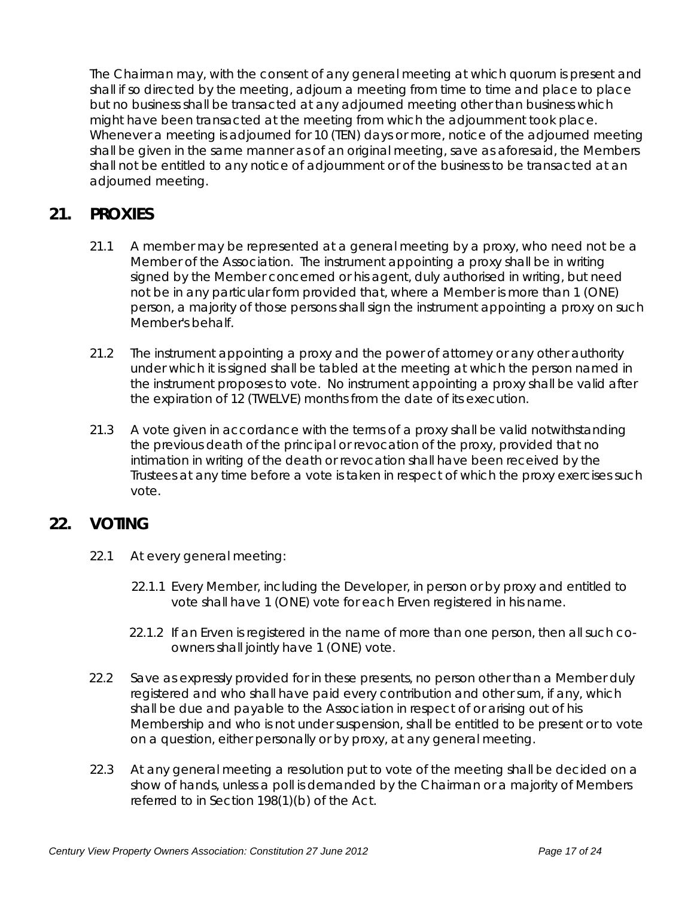The Chairman may, with the consent of any general meeting at which quorum is present and shall if so directed by the meeting, adjourn a meeting from time to time and place to place but no business shall be transacted at any adjourned meeting other than business which might have been transacted at the meeting from which the adjournment took place. Whenever a meeting is adjourned for 10 (TEN) days or more, notice of the adjourned meeting shall be given in the same manner as of an original meeting, save as aforesaid, the Members shall not be entitled to any notice of adjournment or of the business to be transacted at an adjourned meeting.

## **21. PROXIES**

- 21.1 A member may be represented at a general meeting by a proxy, who need not be a Member of the Association. The instrument appointing a proxy shall be in writing signed by the Member concerned or his agent, duly authorised in writing, but need not be in any particular form provided that, where a Member is more than 1 (ONE) person, a majority of those persons shall sign the instrument appointing a proxy on such Member's behalf.
- 21.2 The instrument appointing a proxy and the power of attorney or any other authority under which it is signed shall be tabled at the meeting at which the person named in the instrument proposes to vote. No instrument appointing a proxy shall be valid after the expiration of 12 (TWELVE) months from the date of its execution.
- 21.3 A vote given in accordance with the terms of a proxy shall be valid notwithstanding the previous death of the principal or revocation of the proxy, provided that no intimation in writing of the death or revocation shall have been received by the Trustees at any time before a vote is taken in respect of which the proxy exercises such vote.

## **22. VOTING**

- 22.1 At every general meeting:
	- 22.1.1 Every Member, including the Developer, in person or by proxy and entitled to vote shall have 1 (ONE) vote for each Erven registered in his name.
	- 22.1.2 If an Erven is registered in the name of more than one person, then all such coowners shall jointly have 1 (ONE) vote.
- 22.2 Save as expressly provided for in these presents, no person other than a Member duly registered and who shall have paid every contribution and other sum, if any, which shall be due and payable to the Association in respect of or arising out of his Membership and who is not under suspension, shall be entitled to be present or to vote on a question, either personally or by proxy, at any general meeting.
- 22.3 At any general meeting a resolution put to vote of the meeting shall be decided on a show of hands, unless a poll is demanded by the Chairman or a majority of Members referred to in Section 198(1)(b) of the Act.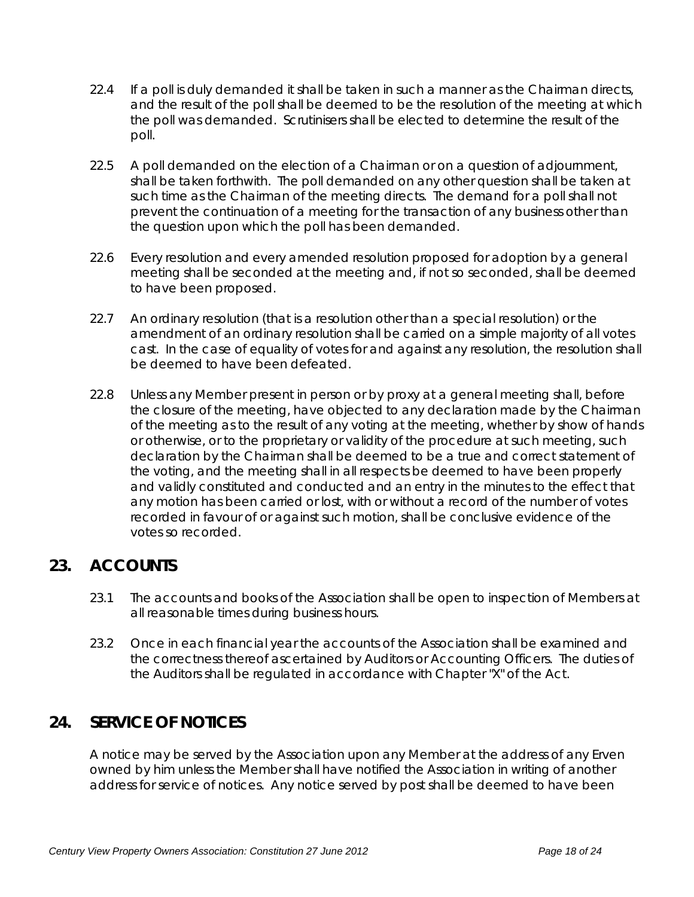- 22.4 If a poll is duly demanded it shall be taken in such a manner as the Chairman directs, and the result of the poll shall be deemed to be the resolution of the meeting at which the poll was demanded. Scrutinisers shall be elected to determine the result of the poll.
- 22.5 A poll demanded on the election of a Chairman or on a question of adjournment, shall be taken forthwith. The poll demanded on any other question shall be taken at such time as the Chairman of the meeting directs. The demand for a poll shall not prevent the continuation of a meeting for the transaction of any business other than the question upon which the poll has been demanded.
- 22.6 Every resolution and every amended resolution proposed for adoption by a general meeting shall be seconded at the meeting and, if not so seconded, shall be deemed to have been proposed.
- 22.7 An ordinary resolution (that is a resolution other than a special resolution) or the amendment of an ordinary resolution shall be carried on a simple majority of all votes cast. In the case of equality of votes for and against any resolution, the resolution shall be deemed to have been defeated.
- 22.8 Unless any Member present in person or by proxy at a general meeting shall, before the closure of the meeting, have objected to any declaration made by the Chairman of the meeting as to the result of any voting at the meeting, whether by show of hands or otherwise, or to the proprietary or validity of the procedure at such meeting, such declaration by the Chairman shall be deemed to be a true and correct statement of the voting, and the meeting shall in all respects be deemed to have been properly and validly constituted and conducted and an entry in the minutes to the effect that any motion has been carried or lost, with or without a record of the number of votes recorded in favour of or against such motion, shall be conclusive evidence of the votes so recorded.

# **23. ACCOUNTS**

- 23.1 The accounts and books of the Association shall be open to inspection of Members at all reasonable times during business hours.
- 23.2 Once in each financial year the accounts of the Association shall be examined and the correctness thereof ascertained by Auditors or Accounting Officers. The duties of the Auditors shall be regulated in accordance with Chapter "X" of the Act.

# **24. SERVICE OF NOTICES**

A notice may be served by the Association upon any Member at the address of any Erven owned by him unless the Member shall have notified the Association in writing of another address for service of notices. Any notice served by post shall be deemed to have been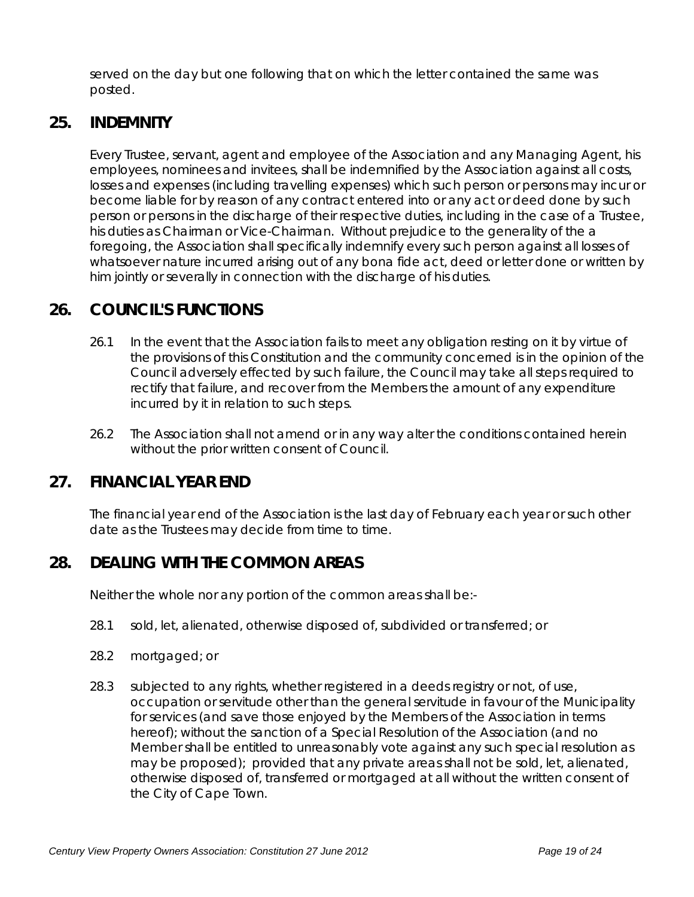served on the day but one following that on which the letter contained the same was posted.

## **25. INDEMNITY**

Every Trustee, servant, agent and employee of the Association and any Managing Agent, his employees, nominees and invitees, shall be indemnified by the Association against all costs, losses and expenses (including travelling expenses) which such person or persons may incur or become liable for by reason of any contract entered into or any act or deed done by such person or persons in the discharge of their respective duties, including in the case of a Trustee, his duties as Chairman or Vice-Chairman. Without prejudice to the generality of the a foregoing, the Association shall specifically indemnify every such person against all losses of whatsoever nature incurred arising out of any bona fide act, deed or letter done or written by him jointly or severally in connection with the discharge of his duties.

#### **26. COUNCIL'S FUNCTIONS**

- 26.1 In the event that the Association fails to meet any obligation resting on it by virtue of the provisions of this Constitution and the community concerned is in the opinion of the Council adversely effected by such failure, the Council may take all steps required to rectify that failure, and recover from the Members the amount of any expenditure incurred by it in relation to such steps.
- 26.2 The Association shall not amend or in any way alter the conditions contained herein without the prior written consent of Council.

#### **27. FINANCIAL YEAR END**

The financial year end of the Association is the last day of February each year or such other date as the Trustees may decide from time to time.

#### **28. DEALING WITH THE COMMON AREAS**

Neither the whole nor any portion of the common areas shall be:-

- 28.1 sold, let, alienated, otherwise disposed of, subdivided or transferred; or
- 28.2 mortgaged; or
- 28.3 subjected to any rights, whether registered in a deeds registry or not, of use, occupation or servitude other than the general servitude in favour of the Municipality for services (and save those enjoyed by the Members of the Association in terms hereof); without the sanction of a Special Resolution of the Association (and no Member shall be entitled to unreasonably vote against any such special resolution as may be proposed); provided that any private areas shall not be sold, let, alienated, otherwise disposed of, transferred or mortgaged at all without the written consent of the City of Cape Town.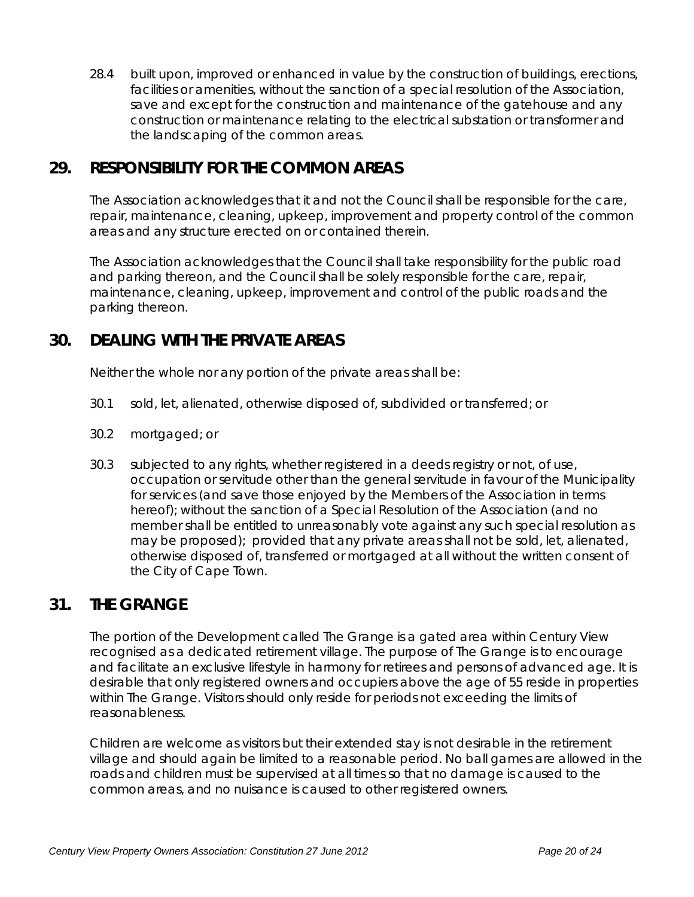28.4 built upon, improved or enhanced in value by the construction of buildings, erections, facilities or amenities, without the sanction of a special resolution of the Association, save and except for the construction and maintenance of the gatehouse and any construction or maintenance relating to the electrical substation or transformer and the landscaping of the common areas.

## **29. RESPONSIBILITY FOR THE COMMON AREAS**

The Association acknowledges that it and not the Council shall be responsible for the care, repair, maintenance, cleaning, upkeep, improvement and property control of the common areas and any structure erected on or contained therein.

The Association acknowledges that the Council shall take responsibility for the public road and parking thereon, and the Council shall be solely responsible for the care, repair, maintenance, cleaning, upkeep, improvement and control of the public roads and the parking thereon.

## **30. DEALING WITH THE PRIVATE AREAS**

Neither the whole nor any portion of the private areas shall be:

- 30.1 sold, let, alienated, otherwise disposed of, subdivided or transferred; or
- 30.2 mortgaged; or
- 30.3 subjected to any rights, whether registered in a deeds registry or not, of use, occupation or servitude other than the general servitude in favour of the Municipality for services (and save those enjoyed by the Members of the Association in terms hereof); without the sanction of a Special Resolution of the Association (and no member shall be entitled to unreasonably vote against any such special resolution as may be proposed); provided that any private areas shall not be sold, let, alienated, otherwise disposed of, transferred or mortgaged at all without the written consent of the City of Cape Town.

#### **31. THE GRANGE**

The portion of the Development called The Grange is a gated area within Century View recognised as a dedicated retirement village. The purpose of The Grange is to encourage and facilitate an exclusive lifestyle in harmony for retirees and persons of advanced age. It is desirable that only registered owners and occupiers above the age of 55 reside in properties within The Grange. Visitors should only reside for periods not exceeding the limits of reasonableness.

Children are welcome as visitors but their extended stay is not desirable in the retirement village and should again be limited to a reasonable period. No ball games are allowed in the roads and children must be supervised at all times so that no damage is caused to the common areas, and no nuisance is caused to other registered owners.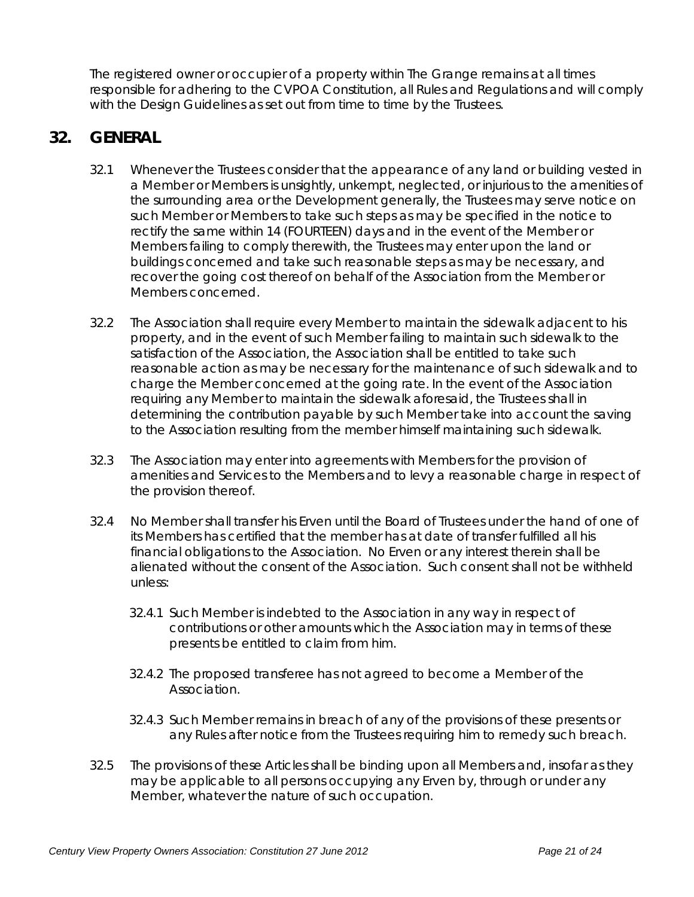The registered owner or occupier of a property within The Grange remains at all times responsible for adhering to the CVPOA Constitution, all Rules and Regulations and will comply with the Design Guidelines as set out from time to time by the Trustees.

## **32. GENERAL**

- 32.1 Whenever the Trustees consider that the appearance of any land or building vested in a Member or Members is unsightly, unkempt, neglected, or injurious to the amenities of the surrounding area or the Development generally, the Trustees may serve notice on such Member or Members to take such steps as may be specified in the notice to rectify the same within 14 (FOURTEEN) days and in the event of the Member or Members failing to comply therewith, the Trustees may enter upon the land or buildings concerned and take such reasonable steps as may be necessary, and recover the going cost thereof on behalf of the Association from the Member or Members concerned.
- 32.2 The Association shall require every Member to maintain the sidewalk adjacent to his property, and in the event of such Member failing to maintain such sidewalk to the satisfaction of the Association, the Association shall be entitled to take such reasonable action as may be necessary for the maintenance of such sidewalk and to charge the Member concerned at the going rate. In the event of the Association requiring any Member to maintain the sidewalk aforesaid, the Trustees shall in determining the contribution payable by such Member take into account the saving to the Association resulting from the member himself maintaining such sidewalk.
- 32.3 The Association may enter into agreements with Members for the provision of amenities and Services to the Members and to levy a reasonable charge in respect of the provision thereof.
- 32.4 No Member shall transfer his Erven until the Board of Trustees under the hand of one of its Members has certified that the member has at date of transfer fulfilled all his financial obligations to the Association. No Erven or any interest therein shall be alienated without the consent of the Association. Such consent shall not be withheld unless:
	- 32.4.1 Such Member is indebted to the Association in any way in respect of contributions or other amounts which the Association may in terms of these presents be entitled to claim from him.
	- 32.4.2 The proposed transferee has not agreed to become a Member of the Association.
	- 32.4.3 Such Member remains in breach of any of the provisions of these presents or any Rules after notice from the Trustees requiring him to remedy such breach.
- 32.5 The provisions of these Articles shall be binding upon all Members and, insofar as they may be applicable to all persons occupying any Erven by, through or under any Member, whatever the nature of such occupation.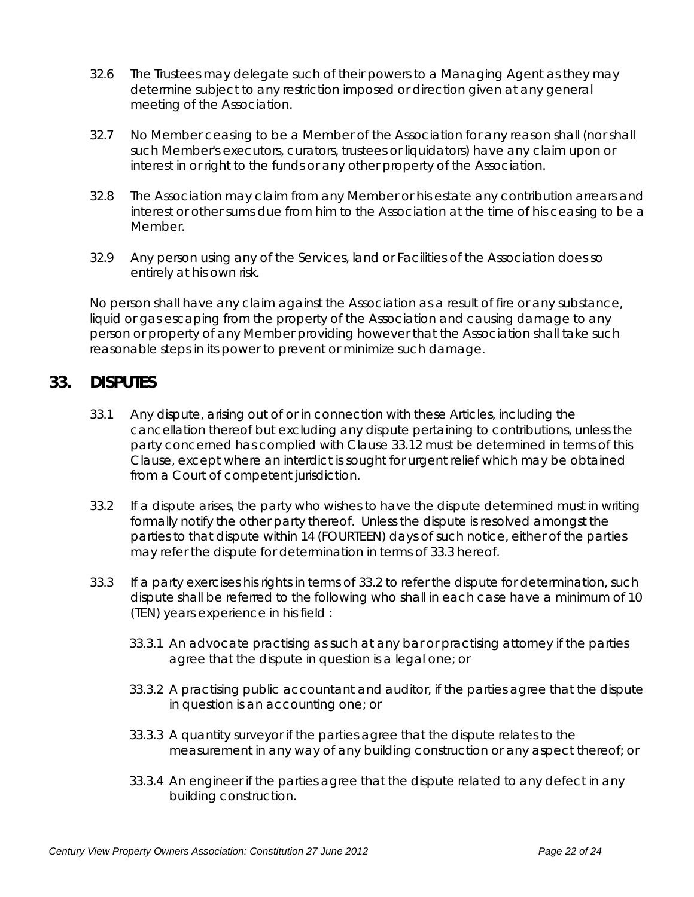- 32.6 The Trustees may delegate such of their powers to a Managing Agent as they may determine subject to any restriction imposed or direction given at any general meeting of the Association.
- 32.7 No Member ceasing to be a Member of the Association for any reason shall (nor shall such Member's executors, curators, trustees or liquidators) have any claim upon or interest in or right to the funds or any other property of the Association.
- 32.8 The Association may claim from any Member or his estate any contribution arrears and interest or other sums due from him to the Association at the time of his ceasing to be a Member.
- 32.9 Any person using any of the Services, land or Facilities of the Association does so entirely at his own risk.

No person shall have any claim against the Association as a result of fire or any substance, liquid or gas escaping from the property of the Association and causing damage to any person or property of any Member providing however that the Association shall take such reasonable steps in its power to prevent or minimize such damage.

#### **33. DISPUTES**

- 33.1 Any dispute, arising out of or in connection with these Articles, including the cancellation thereof but excluding any dispute pertaining to contributions, unless the party concerned has complied with Clause 33.12 must be determined in terms of this Clause, except where an interdict is sought for urgent relief which may be obtained from a Court of competent jurisdiction.
- 33.2 If a dispute arises, the party who wishes to have the dispute determined must in writing formally notify the other party thereof. Unless the dispute is resolved amongst the parties to that dispute within 14 (FOURTEEN) days of such notice, either of the parties may refer the dispute for determination in terms of 33.3 hereof.
- 33.3 If a party exercises his rights in terms of 33.2 to refer the dispute for determination, such dispute shall be referred to the following who shall in each case have a minimum of 10 (TEN) years experience in his field :
	- 33.3.1 An advocate practising as such at any bar or practising attorney if the parties agree that the dispute in question is a legal one; or
	- 33.3.2 A practising public accountant and auditor, if the parties agree that the dispute in question is an accounting one; or
	- 33.3.3 A quantity surveyor if the parties agree that the dispute relates to the measurement in any way of any building construction or any aspect thereof; or
	- 33.3.4 An engineer if the parties agree that the dispute related to any defect in any building construction.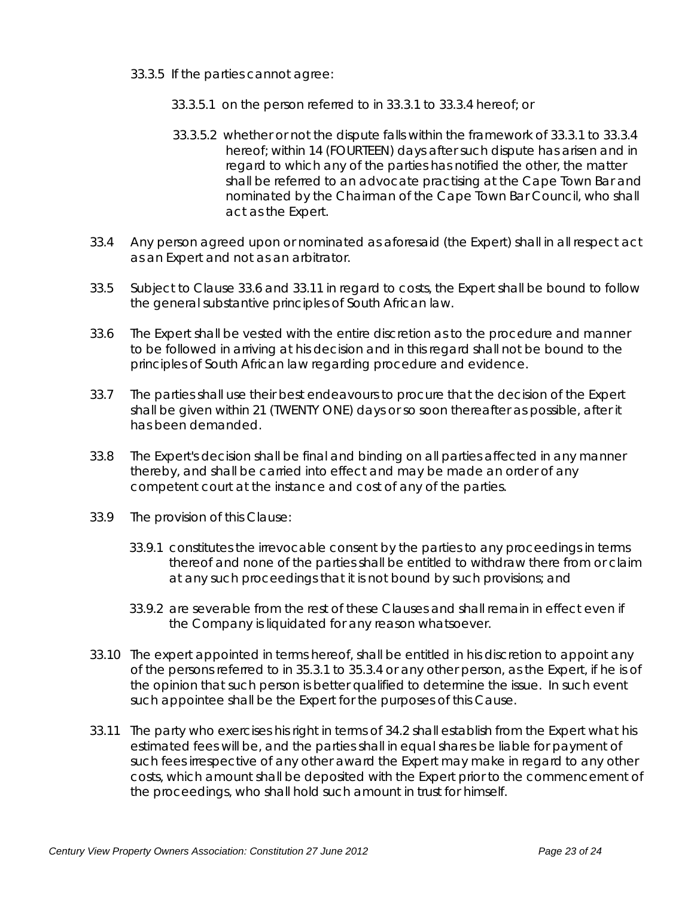- 33.3.5 If the parties cannot agree:
	- 33.3.5.1 on the person referred to in 33.3.1 to 33.3.4 hereof; or
	- 33.3.5.2 whether or not the dispute falls within the framework of 33.3.1 to 33.3.4 hereof; within 14 (FOURTEEN) days after such dispute has arisen and in regard to which any of the parties has notified the other, the matter shall be referred to an advocate practising at the Cape Town Bar and nominated by the Chairman of the Cape Town Bar Council, who shall act as the Expert.
- 33.4 Any person agreed upon or nominated as aforesaid (the Expert) shall in all respect act as an Expert and not as an arbitrator.
- 33.5 Subject to Clause 33.6 and 33.11 in regard to costs, the Expert shall be bound to follow the general substantive principles of South African law.
- 33.6 The Expert shall be vested with the entire discretion as to the procedure and manner to be followed in arriving at his decision and in this regard shall not be bound to the principles of South African law regarding procedure and evidence.
- 33.7 The parties shall use their best endeavours to procure that the decision of the Expert shall be given within 21 (TWENTY ONE) days or so soon thereafter as possible, after it has been demanded.
- 33.8 The Expert's decision shall be final and binding on all parties affected in any manner thereby, and shall be carried into effect and may be made an order of any competent court at the instance and cost of any of the parties.
- 33.9 The provision of this Clause:
	- 33.9.1 constitutes the irrevocable consent by the parties to any proceedings in terms thereof and none of the parties shall be entitled to withdraw there from or claim at any such proceedings that it is not bound by such provisions; and
	- 33.9.2 are severable from the rest of these Clauses and shall remain in effect even if the Company is liquidated for any reason whatsoever.
- 33.10 The expert appointed in terms hereof, shall be entitled in his discretion to appoint any of the persons referred to in 35.3.1 to 35.3.4 or any other person, as the Expert, if he is of the opinion that such person is better qualified to determine the issue. In such event such appointee shall be the Expert for the purposes of this Cause.
- 33.11 The party who exercises his right in terms of 34.2 shall establish from the Expert what his estimated fees will be, and the parties shall in equal shares be liable for payment of such fees irrespective of any other award the Expert may make in regard to any other costs, which amount shall be deposited with the Expert prior to the commencement of the proceedings, who shall hold such amount in trust for himself.